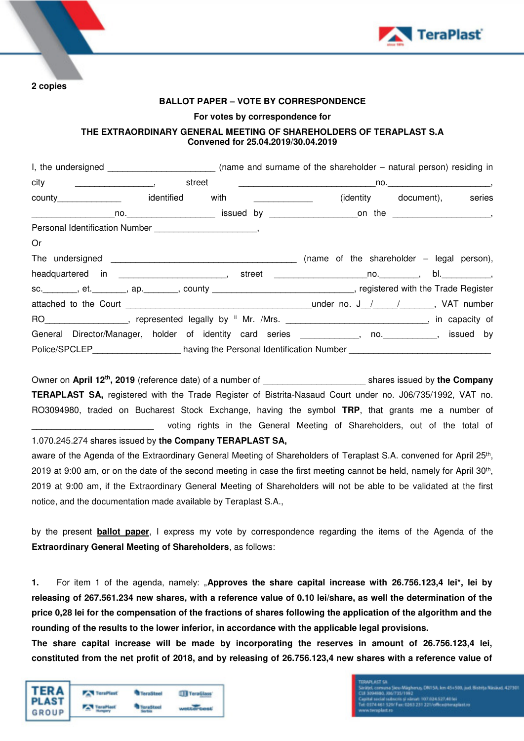

**2 copies** 

### **BALLOT PAPER – VOTE BY CORRESPONDENCE**

#### **For votes by correspondence for**

## **THE EXTRAORDINARY GENERAL MEETING OF SHAREHOLDERS OF TERAPLAST S.A Convened for 25.04.2019/30.04.2019**

| county_________________  identified with ______________                                                                                                                                                                                                                       |  |  | (identity document), series |
|-------------------------------------------------------------------------------------------------------------------------------------------------------------------------------------------------------------------------------------------------------------------------------|--|--|-----------------------------|
|                                                                                                                                                                                                                                                                               |  |  |                             |
|                                                                                                                                                                                                                                                                               |  |  |                             |
| Or                                                                                                                                                                                                                                                                            |  |  |                             |
|                                                                                                                                                                                                                                                                               |  |  |                             |
|                                                                                                                                                                                                                                                                               |  |  |                             |
| sc. ________, et. ________, ap. ________, county _______________________________, registered with the Trade Register                                                                                                                                                          |  |  |                             |
| attached to the Court $\frac{1}{2}$ attached to the Court $\frac{1}{2}$ and $\frac{1}{2}$ and $\frac{1}{2}$ attached to the Court $\frac{1}{2}$ and $\frac{1}{2}$ and $\frac{1}{2}$ and $\frac{1}{2}$ and $\frac{1}{2}$ and $\frac{1}{2}$ and $\frac{1}{2}$ and $\frac{1}{2}$ |  |  |                             |
|                                                                                                                                                                                                                                                                               |  |  |                             |
| General Director/Manager, holder of identity card series ___________, no. _________, issued by                                                                                                                                                                                |  |  |                             |
| Police/SPCLEP__________________having the Personal Identification Number ___________________________                                                                                                                                                                          |  |  |                             |

Owner on **April 12th, 2019** (reference date) of a number of \_\_\_\_\_\_\_\_\_\_\_\_\_\_\_\_\_\_\_\_\_ shares issued by **the Company TERAPLAST SA,** registered with the Trade Register of Bistrita-Nasaud Court under no. J06/735/1992, VAT no. RO3094980, traded on Bucharest Stock Exchange, having the symbol **TRP**, that grants me a number of voting rights in the General Meeting of Shareholders, out of the total of

1.070.245.274 shares issued by **the Company TERAPLAST SA,**

aware of the Agenda of the Extraordinary General Meeting of Shareholders of Teraplast S.A. convened for April 25<sup>th</sup>, 2019 at 9:00 am, or on the date of the second meeting in case the first meeting cannot be held, namely for April 30th , 2019 at 9:00 am, if the Extraordinary General Meeting of Shareholders will not be able to be validated at the first notice, and the documentation made available by Teraplast S.A.,

by the present **ballot paper**, I express my vote by correspondence regarding the items of the Agenda of the **Extraordinary General Meeting of Shareholders**, as follows:

**1.** For item 1 of the agenda, namely: "**Approves the share capital increase with 26.756.123,4 lei\*, lei by releasing of 267.561.234 new shares, with a reference value of 0.10 lei/share, as well the determination of the price 0,28 lei for the compensation of the fractions of shares following the application of the algorithm and the rounding of the results to the lower inferior, in accordance with the applicable legal provisions.** 

**The share capital increase will be made by incorporating the reserves in amount of 26.756.123,4 lei, constituted from the net profit of 2018, and by releasing of 26.756.123,4 new shares with a reference value of** 

| <b>TERA</b><br>PLAST | <b>TeraPlast</b> | <b>TeraSteel</b> | TeraGlass |
|----------------------|------------------|------------------|-----------|
| GROUP                |                  |                  |           |

135/1992<br>ois și vărsat: 107.034.527,401ei<br>Fax: 0363.251.221/office@teraplast.ro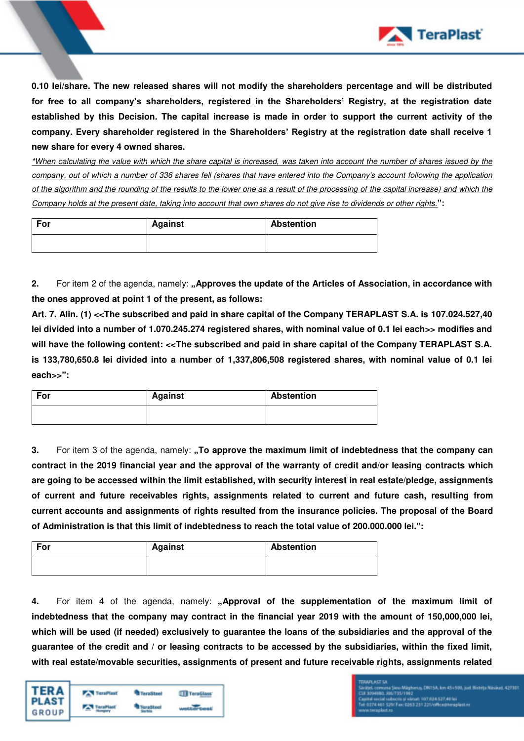

**0.10 lei/share. The new released shares will not modify the shareholders percentage and will be distributed for free to all company's shareholders, registered in the Shareholders' Registry, at the registration date established by this Decision. The capital increase is made in order to support the current activity of the company. Every shareholder registered in the Shareholders' Registry at the registration date shall receive 1 new share for every 4 owned shares.** 

\*When calculating the value with which the share capital is increased, was taken into account the number of shares issued by the company, out of which a number of 336 shares fell (shares that have entered into the Company's account following the application of the algorithm and the rounding of the results to the lower one as a result of the processing of the capital increase) and which the Company holds at the present date, taking into account that own shares do not give rise to dividends or other rights.**":**

| For | <b>Against</b> | <b>Abstention</b> |
|-----|----------------|-------------------|
|     |                |                   |

**2.** For item 2 of the agenda, namely: **"Approves the update of the Articles of Association, in accordance with the ones approved at point 1 of the present, as follows:** 

**Art. 7. Alin. (1) <<The subscribed and paid in share capital of the Company TERAPLAST S.A. is 107.024.527,40 lei divided into a number of 1.070.245.274 registered shares, with nominal value of 0.1 lei each>> modifies and**  will have the following content: <<The subscribed and paid in share capital of the Company TERAPLAST S.A. **is 133,780,650.8 lei divided into a number of 1,337,806,508 registered shares, with nominal value of 0.1 lei each>>":**

| For | <b>Against</b> | <b>Abstention</b> |
|-----|----------------|-------------------|
|     |                |                   |

**3.** For item 3 of the agenda, namely: **"To approve the maximum limit of indebtedness that the company can contract in the 2019 financial year and the approval of the warranty of credit and/or leasing contracts which are going to be accessed within the limit established, with security interest in real estate/pledge, assignments of current and future receivables rights, assignments related to current and future cash, resulting from current accounts and assignments of rights resulted from the insurance policies. The proposal of the Board of Administration is that this limit of indebtedness to reach the total value of 200.000.000 lei.":** 

| For | <b>Against</b> | <b>Abstention</b> |
|-----|----------------|-------------------|
|     |                |                   |

**4.** For item 4 of the agenda, namely: **"Approval of the supplementation of the maximum limit of indebtedness that the company may contract in the financial year 2019 with the amount of 150,000,000 lei, which will be used (if needed) exclusively to guarantee the loans of the subsidiaries and the approval of the guarantee of the credit and / or leasing contracts to be accessed by the subsidiaries, within the fixed limit, with real estate/movable securities, assignments of present and future receivable rights, assignments related** 



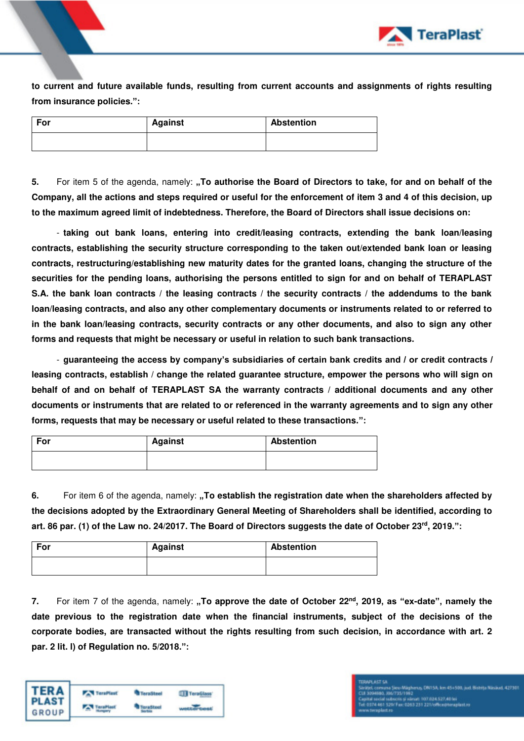

**to current and future available funds, resulting from current accounts and assignments of rights resulting from insurance policies.":**

| For | <b>Against</b> | <b>Abstention</b> |
|-----|----------------|-------------------|
|     |                |                   |

**5.** For item 5 of the agenda, namely: "To authorise the Board of Directors to take, for and on behalf of the **Company, all the actions and steps required or useful for the enforcement of item 3 and 4 of this decision, up to the maximum agreed limit of indebtedness. Therefore, the Board of Directors shall issue decisions on:** 

- **taking out bank loans, entering into credit/leasing contracts, extending the bank loan/leasing contracts, establishing the security structure corresponding to the taken out/extended bank loan or leasing contracts, restructuring/establishing new maturity dates for the granted loans, changing the structure of the securities for the pending loans, authorising the persons entitled to sign for and on behalf of TERAPLAST S.A. the bank loan contracts / the leasing contracts / the security contracts / the addendums to the bank loan/leasing contracts, and also any other complementary documents or instruments related to or referred to in the bank loan/leasing contracts, security contracts or any other documents, and also to sign any other forms and requests that might be necessary or useful in relation to such bank transactions.** 

- **guaranteeing the access by company's subsidiaries of certain bank credits and / or credit contracts / leasing contracts, establish / change the related guarantee structure, empower the persons who will sign on behalf of and on behalf of TERAPLAST SA the warranty contracts / additional documents and any other documents or instruments that are related to or referenced in the warranty agreements and to sign any other forms, requests that may be necessary or useful related to these transactions.":**

| For | <b>Against</b> | <b>Abstention</b> |
|-----|----------------|-------------------|
|     |                |                   |

**6.** For item 6 of the agenda, namely: **"To establish the registration date when the shareholders affected by the decisions adopted by the Extraordinary General Meeting of Shareholders shall be identified, according to art. 86 par. (1) of the Law no. 24/2017. The Board of Directors suggests the date of October 23rd , 2019.":** 

| For | Against | <b>Abstention</b> |
|-----|---------|-------------------|
|     |         |                   |

**7.** For item 7 of the agenda, namely: **"To approve the date of October 22nd, 2019, as "ex-date", namely the date previous to the registration date when the financial instruments, subject of the decisions of the corporate bodies, are transacted without the rights resulting from such decision, in accordance with art. 2 par. 2 lit. l) of Regulation no. 5/2018.":**

| TERA  | <b>TeraPlast</b> | <b>TeraSteel</b> | TeraGlass |
|-------|------------------|------------------|-----------|
| GROUP |                  |                  |           |

# ivez<br>i värsati 107.034.527,40 lei<br>0363 231 221/office@teraplast.ro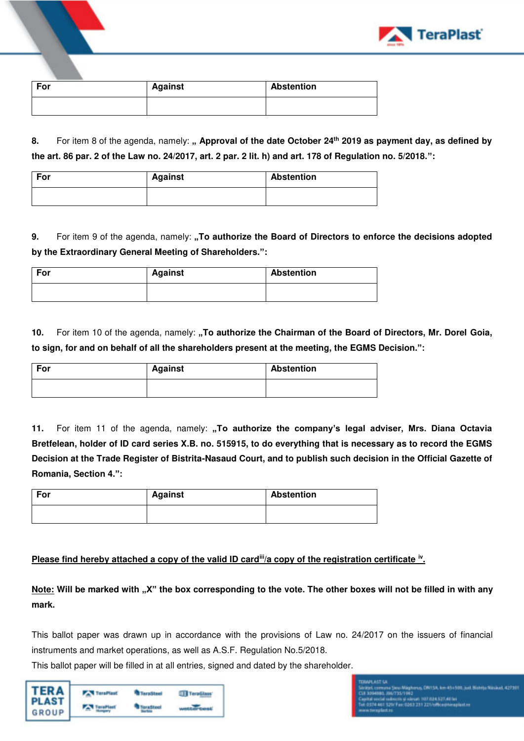| For | <b>Against</b> | <b>Abstention</b> |
|-----|----------------|-------------------|
|     |                |                   |

8. For item 8 of the agenda, namely: " Approval of the date October 24<sup>th</sup> 2019 as payment day, as defined by **the art. 86 par. 2 of the Law no. 24/2017, art. 2 par. 2 lit. h) and art. 178 of Regulation no. 5/2018.":** 

| For | <b>Against</b> | <b>Abstention</b> |
|-----|----------------|-------------------|
|     |                |                   |

**9.** For item 9 of the agenda, namely: "To authorize the Board of Directors to enforce the decisions adopted **by the Extraordinary General Meeting of Shareholders.":**

| For | <b>Against</b> | <b>Abstention</b> |
|-----|----------------|-------------------|
|     |                |                   |

10. For item 10 of the agenda, namely: "To authorize the Chairman of the Board of Directors, Mr. Dorel Goia, **to sign, for and on behalf of all the shareholders present at the meeting, the EGMS Decision.":**

| For | Against | <b>Abstention</b> |
|-----|---------|-------------------|
|     |         |                   |

11. For item 11 of the agenda, namely: "To authorize the company's legal adviser, Mrs. Diana Octavia **Bretfelean, holder of ID card series X.B. no. 515915, to do everything that is necessary as to record the EGMS Decision at the Trade Register of Bistrita-Nasaud Court, and to publish such decision in the Official Gazette of Romania, Section 4.":**

| For | <b>Against</b> | <b>Abstention</b> |
|-----|----------------|-------------------|
|     |                |                   |

## Please find hereby attached a copy of the valid ID card<sup>iii</sup>/a copy of the registration certificate <sup>iv</sup>.

**Note: Will be marked with "X" the box corresponding to the vote. The other boxes will not be filled in with any mark.** 

This ballot paper was drawn up in accordance with the provisions of Law no. 24/2017 on the issuers of financial instruments and market operations, as well as A.S.F. Regulation No.5/2018.

This ballot paper will be filled in at all entries, signed and dated by the shareholder.

| <b>TERA</b> | <b>TeraPlast</b> | <b>TeraSteel</b> | TeraGlass |
|-------------|------------------|------------------|-----------|
| GROUP       |                  |                  |           |